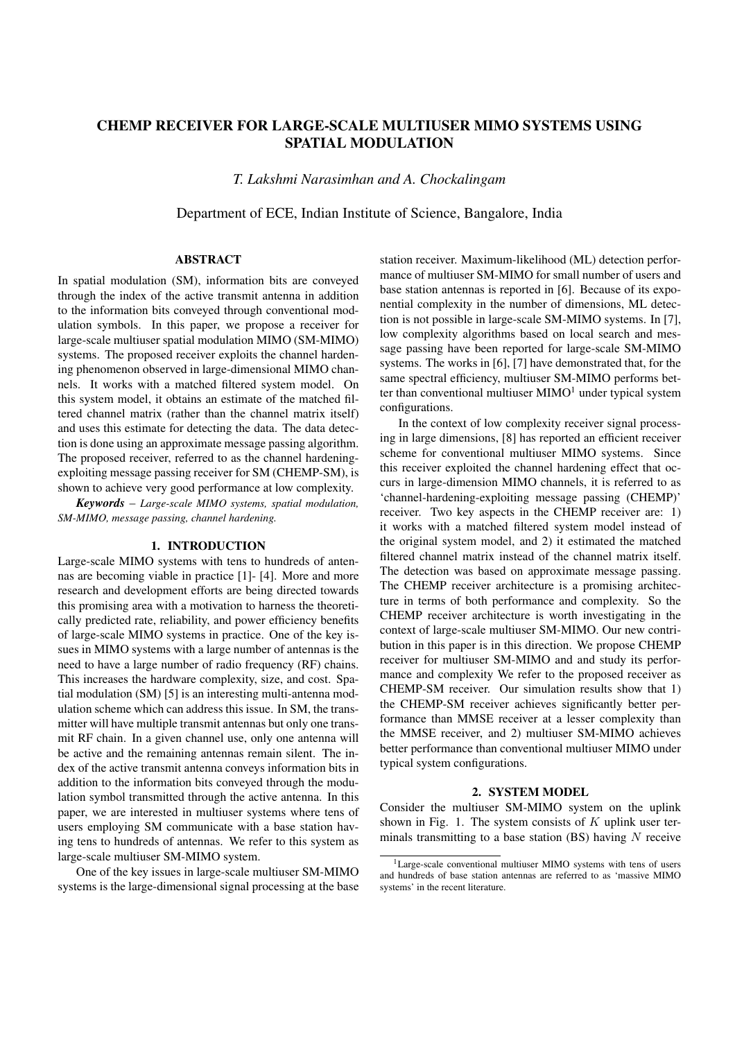# CHEMP RECEIVER FOR LARGE-SCALE MULTIUSER MIMO SYSTEMS USING SPATIAL MODULATION

*T. Lakshmi Narasimhan and A. Chockalingam*

Department of ECE, Indian Institute of Science, Bangalore, India

### ABSTRACT

In spatial modulation (SM), information bits are conveyed through the index of the active transmit antenna in addition to the information bits conveyed through conventional modulation symbols. In this paper, we propose a receiver for large-scale multiuser spatial modulation MIMO (SM-MIMO) systems. The proposed receiver exploits the channel hardening phenomenon observed in large-dimensional MIMO channels. It works with a matched filtered system model. On this system model, it obtains an estimate of the matched filtered channel matrix (rather than the channel matrix itself) and uses this estimate for detecting the data. The data detection is done using an approximate message passing algorithm. The proposed receiver, referred to as the channel hardeningexploiting message passing receiver for SM (CHEMP-SM), is shown to achieve very good performance at low complexity.

*Keywords* – *Large-scale MIMO systems, spatial modulation, SM-MIMO, message passing, channel hardening.*

## 1. INTRODUCTION

Large-scale MIMO systems with tens to hundreds of antennas are becoming viable in practice [1]- [4]. More and more research and development efforts are being directed towards this promising area with a motivation to harness the theoretically predicted rate, reliability, and power efficiency benefits of large-scale MIMO systems in practice. One of the key issues in MIMO systems with a large number of antennas is the need to have a large number of radio frequency (RF) chains. This increases the hardware complexity, size, and cost. Spatial modulation (SM) [5] is an interesting multi-antenna modulation scheme which can address this issue. In SM, the transmitter will have multiple transmit antennas but only one transmit RF chain. In a given channel use, only one antenna will be active and the remaining antennas remain silent. The index of the active transmit antenna conveys information bits in addition to the information bits conveyed through the modulation symbol transmitted through the active antenna. In this paper, we are interested in multiuser systems where tens of users employing SM communicate with a base station having tens to hundreds of antennas. We refer to this system as large-scale multiuser SM-MIMO system.

One of the key issues in large-scale multiuser SM-MIMO systems is the large-dimensional signal processing at the base

station receiver. Maximum-likelihood (ML) detection performance of multiuser SM-MIMO for small number of users and base station antennas is reported in [6]. Because of its exponential complexity in the number of dimensions, ML detection is not possible in large-scale SM-MIMO systems. In [7], low complexity algorithms based on local search and message passing have been reported for large-scale SM-MIMO systems. The works in [6], [7] have demonstrated that, for the same spectral efficiency, multiuser SM-MIMO performs better than conventional multiuser  $MIMO<sup>1</sup>$  under typical system configurations.

In the context of low complexity receiver signal processing in large dimensions, [8] has reported an efficient receiver scheme for conventional multiuser MIMO systems. Since this receiver exploited the channel hardening effect that occurs in large-dimension MIMO channels, it is referred to as 'channel-hardening-exploiting message passing (CHEMP)' receiver. Two key aspects in the CHEMP receiver are: 1) it works with a matched filtered system model instead of the original system model, and 2) it estimated the matched filtered channel matrix instead of the channel matrix itself. The detection was based on approximate message passing. The CHEMP receiver architecture is a promising architecture in terms of both performance and complexity. So the CHEMP receiver architecture is worth investigating in the context of large-scale multiuser SM-MIMO. Our new contribution in this paper is in this direction. We propose CHEMP receiver for multiuser SM-MIMO and and study its performance and complexity We refer to the proposed receiver as CHEMP-SM receiver. Our simulation results show that 1) the CHEMP-SM receiver achieves significantly better performance than MMSE receiver at a lesser complexity than the MMSE receiver, and 2) multiuser SM-MIMO achieves better performance than conventional multiuser MIMO under typical system configurations.

#### 2. SYSTEM MODEL

Consider the multiuser SM-MIMO system on the uplink shown in Fig. 1. The system consists of  $K$  uplink user terminals transmitting to a base station  $(BS)$  having N receive

<sup>1</sup>Large-scale conventional multiuser MIMO systems with tens of users and hundreds of base station antennas are referred to as 'massive MIMO systems' in the recent literature.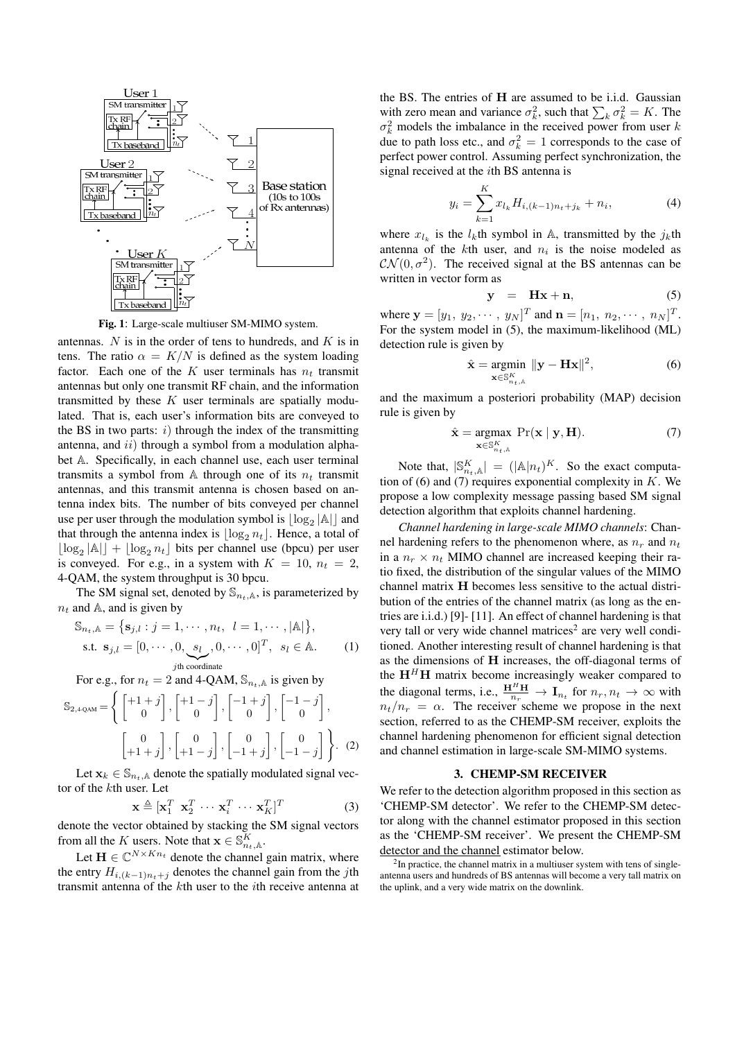

Fig. 1: Large-scale multiuser SM-MIMO system.

antennas.  $N$  is in the order of tens to hundreds, and  $K$  is in tens. The ratio  $\alpha = K/N$  is defined as the system loading factor. Each one of the K user terminals has  $n_t$  transmit antennas but only one transmit RF chain, and the information transmitted by these  $K$  user terminals are spatially modulated. That is, each user's information bits are conveyed to the BS in two parts:  $i)$  through the index of the transmitting antenna, and  $ii)$  through a symbol from a modulation alphabet A. Specifically, in each channel use, each user terminal transmits a symbol from A through one of its  $n_t$  transmit antennas, and this transmit antenna is chosen based on antenna index bits. The number of bits conveyed per channel use per user through the modulation symbol is  $\lfloor \log_2 |A| \rfloor$  and that through the antenna index is  $|\log_2 n_t|$ . Hence, a total of  $\lfloor \log_2 |\mathbb{A}| \rfloor + \lfloor \log_2 n_t \rfloor$  bits per channel use (bpcu) per user is conveyed. For e.g., in a system with  $K = 10$ ,  $n_t = 2$ , 4-QAM, the system throughput is 30 bpcu.

The SM signal set, denoted by  $\mathbb{S}_{n_t,\mathbb{A}}$ , is parameterized by  $n_t$  and A, and is given by

$$
\mathbb{S}_{n_t,\mathbb{A}} = \{ \mathbf{s}_{j,l} : j = 1, \cdots, n_t, l = 1, \cdots, |\mathbb{A}| \},
$$
  
s.t.  $\mathbf{s}_{j,l} = [0, \cdots, 0, \underbrace{s_l}_{j\text{th coordinate}}, 0, \cdots, 0]^T, s_l \in \mathbb{A}.$  (1)

For e.g., for  $n_t = 2$  and 4-QAM,  $\mathbb{S}_{n_t,\mathbb{A}}$  is given by

$$
\mathbb{S}_{2,4\text{-QAM}} = \left\{ \begin{bmatrix} +1+j \\ 0 \end{bmatrix}, \begin{bmatrix} +1-j \\ 0 \end{bmatrix}, \begin{bmatrix} -1+j \\ 0 \end{bmatrix}, \begin{bmatrix} -1-j \\ 0 \end{bmatrix}, \begin{bmatrix} -1-j \\ 0 \end{bmatrix}, \begin{bmatrix} 0 \\ +1+j \end{bmatrix}, \begin{bmatrix} 0 \\ +1-j \end{bmatrix}, \begin{bmatrix} 0 \\ -1+j \end{bmatrix}, \begin{bmatrix} 0 \\ -1-j \end{bmatrix} \right\}.
$$
 (2)

Let  $x_k \in \mathbb{S}_{n_t,\mathbb{A}}$  denote the spatially modulated signal vector of the kth user. Let

$$
\mathbf{x} \triangleq [\mathbf{x}_1^T \ \mathbf{x}_2^T \ \cdots \ \mathbf{x}_i^T \ \cdots \ \mathbf{x}_K^T]^T \tag{3}
$$

denote the vector obtained by stacking the SM signal vectors from all the K users. Note that  $\mathbf{x} \in \mathbb{S}_{n_t,\mathbb{A}}^K$ .

Let  $\mathbf{H} \in \mathbb{C}^{N \times Kn_t}$  denote the channel gain matrix, where the entry  $H_{i,(k-1)n_t+j}$  denotes the channel gain from the jth transmit antenna of the kth user to the ith receive antenna at the BS. The entries of H are assumed to be i.i.d. Gaussian with zero mean and variance  $\sigma_k^2$ , such that  $\sum_k \sigma_k^2 = K$ . The  $\sigma_k^2$  models the imbalance in the received power from user k due to path loss etc., and  $\sigma_k^2 = 1$  corresponds to the case of perfect power control. Assuming perfect synchronization, the signal received at the ith BS antenna is

$$
y_i = \sum_{k=1}^{K} x_{l_k} H_{i,(k-1)n_t+j_k} + n_i,
$$
 (4)

where  $x_{l_k}$  is the  $l_k$ th symbol in A, transmitted by the  $j_k$ th antenna of the  $k$ th user, and  $n_i$  is the noise modeled as  $CN(0, \sigma^2)$ . The received signal at the BS antennas can be written in vector form as

$$
y = Hx + n, \tag{5}
$$

where  $\mathbf{y} = [y_1, y_2, \dots, y_N]^T$  and  $\mathbf{n} = [n_1, n_2, \dots, n_N]^T$ . For the system model in (5), the maximum-likelihood (ML) detection rule is given by

$$
\hat{\mathbf{x}} = \underset{\mathbf{x} \in \mathbb{S}_{n_t,\mathbb{A}}^K}{\text{argmin}} \|\mathbf{y} - \mathbf{H}\mathbf{x}\|^2, \tag{6}
$$

and the maximum a posteriori probability (MAP) decision rule is given by

$$
\hat{\mathbf{x}} = \underset{\mathbf{x} \in \mathbb{S}_{n_{t,\hat{\mathbb{A}}}}^{K}}{\operatorname{argmax}} \ \Pr(\mathbf{x} \mid \mathbf{y}, \mathbf{H}). \tag{7}
$$

Note that,  $|\mathbb{S}_{n_t,\mathbb{A}}^K| = (|\mathbb{A}|n_t)^K$ . So the exact computation of (6) and (7) requires exponential complexity in  $K$ . We propose a low complexity message passing based SM signal detection algorithm that exploits channel hardening.

*Channel hardening in large-scale MIMO channels*: Channel hardening refers to the phenomenon where, as  $n_r$  and  $n_t$ in a  $n_r \times n_t$  MIMO channel are increased keeping their ratio fixed, the distribution of the singular values of the MIMO channel matrix H becomes less sensitive to the actual distribution of the entries of the channel matrix (as long as the entries are i.i.d.) [9]- [11]. An effect of channel hardening is that very tall or very wide channel matrices<sup>2</sup> are very well conditioned. Another interesting result of channel hardening is that as the dimensions of H increases, the off-diagonal terms of the  $H<sup>H</sup>H$  matrix become increasingly weaker compared to the diagonal terms, i.e.,  $\frac{H^H H}{n_r} \to I_{n_t}$  for  $n_r, n_t \to \infty$  with  $n_t/n_r = \alpha$ . The receiver scheme we propose in the next section, referred to as the CHEMP-SM receiver, exploits the channel hardening phenomenon for efficient signal detection and channel estimation in large-scale SM-MIMO systems.

#### 3. CHEMP-SM RECEIVER

We refer to the detection algorithm proposed in this section as 'CHEMP-SM detector'. We refer to the CHEMP-SM detector along with the channel estimator proposed in this section as the 'CHEMP-SM receiver'. We present the CHEMP-SM detector and the channel estimator below.

<sup>2</sup>In practice, the channel matrix in a multiuser system with tens of singleantenna users and hundreds of BS antennas will become a very tall matrix on the uplink, and a very wide matrix on the downlink.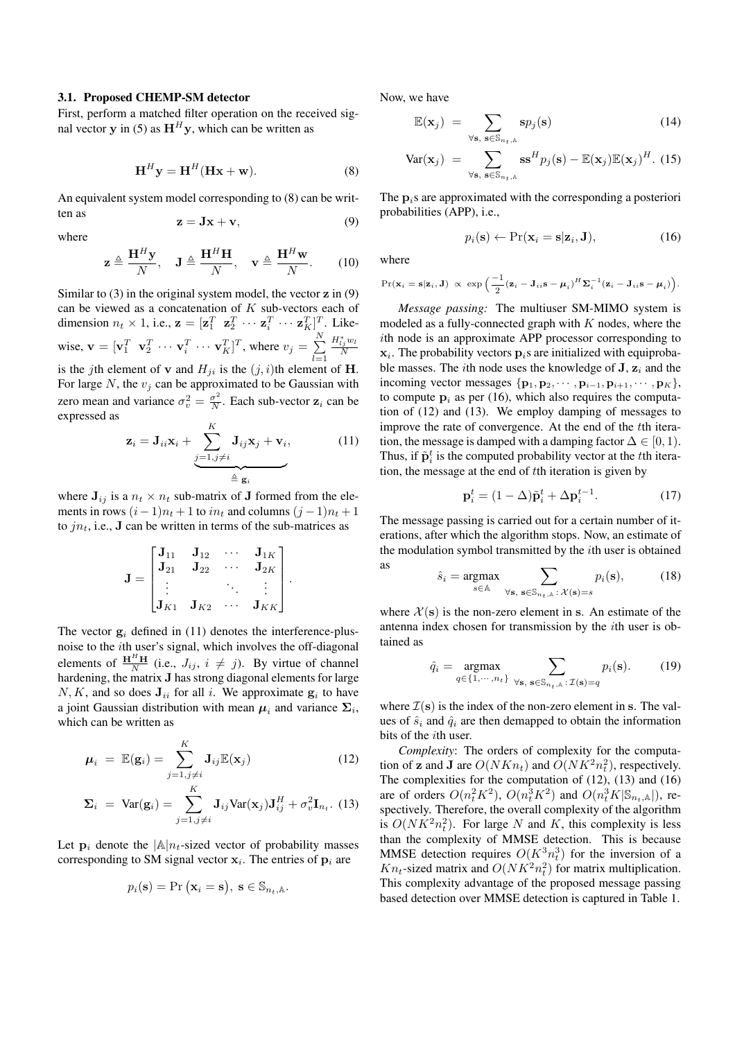#### 3.1. Proposed CHEMP-SM detector

First, perform a matched filter operation on the received signal vector y in (5) as  $H^H y$ , which can be written as

$$
\mathbf{H}^{H}\mathbf{y} = \mathbf{H}^{H}(\mathbf{H}\mathbf{x} + \mathbf{w}).
$$
 (8)

An equivalent system model corresponding to (8) can be written as  $z = Jx + v,$  (9)

where

$$
\mathbf{z} \triangleq \frac{\mathbf{H}^H \mathbf{y}}{N}, \quad \mathbf{J} \triangleq \frac{\mathbf{H}^H \mathbf{H}}{N}, \quad \mathbf{v} \triangleq \frac{\mathbf{H}^H \mathbf{w}}{N}.
$$
 (10)

Similar to  $(3)$  in the original system model, the vector  $\bf{z}$  in  $(9)$ can be viewed as a concatenation of  $K$  sub-vectors each of dimension  $n_t \times 1$ , i.e.,  $\mathbf{z} = [\mathbf{z}_1^T \ \mathbf{z}_2^T \ \cdots \ \mathbf{z}_i^T \ \cdots \ \mathbf{z}_K^T]^T$ . Likewise,  $\mathbf{v} = [\mathbf{v}_1^T \quad \mathbf{v}_2^T \quad \cdots \quad \mathbf{v}_i^T \quad \cdots \quad \mathbf{v}_K^T]^T$ , where  $v_j = \sum_{i=1}^N \mathbf{v}_i^T$  $_{l=1}$  $H_{lj}^*w_l$ N is the jth element of **v** and  $H_{ji}$  is the  $(j, i)$ th element of **H**.

For large  $N$ , the  $v_i$  can be approximated to be Gaussian with zero mean and variance  $\sigma_v^2 = \frac{\sigma^2}{N}$  $\frac{\sigma^2}{N}$ . Each sub-vector  $z_i$  can be expressed as

$$
\mathbf{z}_{i} = \mathbf{J}_{ii}\mathbf{x}_{i} + \underbrace{\sum_{j=1,j\neq i}^{K} \mathbf{J}_{ij}\mathbf{x}_{j} + \mathbf{v}_{i}}_{\triangleq \mathbf{g}_{i}},
$$
(11)

where  $J_{ij}$  is a  $n_t \times n_t$  sub-matrix of J formed from the elements in rows  $(i-1)n_t + 1$  to  $in_t$  and columns  $(j-1)n_t + 1$ to  $jn_t$ , i.e., **J** can be written in terms of the sub-matrices as

$$
\mathbf{J} = \begin{bmatrix} \mathbf{J}_{11} & \mathbf{J}_{12} & \cdots & \mathbf{J}_{1K} \\ \mathbf{J}_{21} & \mathbf{J}_{22} & \cdots & \mathbf{J}_{2K} \\ \vdots & & \ddots & \vdots \\ \mathbf{J}_{K1} & \mathbf{J}_{K2} & \cdots & \mathbf{J}_{KK} \end{bmatrix}.
$$

The vector  $g_i$  defined in (11) denotes the interference-plusnoise to the ith user's signal, which involves the off-diagonal elements of  $\frac{H^H H}{N}$  (i.e.,  $J_{ij}$ ,  $i \neq j$ ). By virtue of channel hardening, the matrix J has strong diagonal elements for large  $N, K$ , and so does  $J_{ii}$  for all i. We approximate  $g_i$  to have a joint Gaussian distribution with mean  $\mu_i$  and variance  $\Sigma_i$ , which can be written as

$$
\mu_i = \mathbb{E}(\mathbf{g}_i) = \sum_{j=1, j \neq i}^{K} \mathbf{J}_{ij} \mathbb{E}(\mathbf{x}_j)
$$
(12)

$$
\Sigma_i = \text{Var}(\mathbf{g}_i) = \sum_{j=1, j\neq i}^{N} \mathbf{J}_{ij} \text{Var}(\mathbf{x}_j) \mathbf{J}_{ij}^H + \sigma_v^2 \mathbf{I}_{n_t}.
$$
 (13)

Let  $\mathbf{p}_i$  denote the  $|\mathbb{A}|n_t$ -sized vector of probability masses corresponding to SM signal vector  $x_i$ . The entries of  $p_i$  are

$$
p_i(\mathbf{s}) = Pr(\mathbf{x}_i = \mathbf{s}), \mathbf{s} \in \mathbb{S}_{n_t, \mathbb{A}}.
$$

Now, we have

$$
\mathbb{E}(\mathbf{x}_j) = \sum_{\forall \mathbf{s}, \ \mathbf{s} \in \mathbb{S}_{n_t, \mathbb{A}}} \mathbf{s} p_j(\mathbf{s}) \tag{14}
$$

$$
\text{Var}(\mathbf{x}_j) = \sum_{\forall \mathbf{s}, \; \mathbf{s} \in \mathbb{S}_{n_t, \mathbb{A}}} \mathbf{s} \mathbf{s}^H p_j(\mathbf{s}) - \mathbb{E}(\mathbf{x}_j) \mathbb{E}(\mathbf{x}_j)^H. \tag{15}
$$

The  $p_i$ s are approximated with the corresponding a posteriori probabilities (APP), i.e.,

$$
p_i(\mathbf{s}) \leftarrow \Pr(\mathbf{x}_i = \mathbf{s} | \mathbf{z}_i, \mathbf{J}), \tag{16}
$$

where

$$
\Pr(\mathbf{x}_i = \mathbf{s} | \mathbf{z}_i, \mathbf{J}) \propto \exp\left(\frac{-1}{2}(\mathbf{z}_i - \mathbf{J}_{ii}\mathbf{s} - \boldsymbol{\mu}_i)^H \boldsymbol{\Sigma}_i^{-1}(\mathbf{z}_i - \mathbf{J}_{ii}\mathbf{s} - \boldsymbol{\mu}_i)\right).
$$

*Message passing:* The multiuser SM-MIMO system is modeled as a fully-connected graph with  $K$  nodes, where the ith node is an approximate APP processor corresponding to  $\mathbf{x}_i$ . The probability vectors  $\mathbf{p}_i$ s are initialized with equiprobable masses. The *i*th node uses the knowledge of  $J$ ,  $z_i$  and the incoming vector messages  $\{p_1, p_2, \cdots, p_{i-1}, p_{i+1}, \cdots, p_K\},\$ to compute  $p_i$  as per (16), which also requires the computation of (12) and (13). We employ damping of messages to improve the rate of convergence. At the end of the tth iteration, the message is damped with a damping factor  $\Delta \in [0, 1)$ . Thus, if  $\tilde{\mathbf{p}}_i^t$  is the computed probability vector at the *t*<sup>th</sup> iteration, the message at the end of tth iteration is given by

$$
\mathbf{p}_i^t = (1 - \Delta)\tilde{\mathbf{p}}_i^t + \Delta \mathbf{p}_i^{t-1}.
$$
 (17)

The message passing is carried out for a certain number of iterations, after which the algorithm stops. Now, an estimate of the modulation symbol transmitted by the  $i$ th user is obtained as

$$
\hat{s}_i = \underset{s \in \mathbb{A}}{\text{argmax}} \sum_{\forall \mathbf{s}, \ \mathbf{s} \in \mathbb{S}_{n_t, \mathbb{A}} : \ \mathcal{X}(\mathbf{s}) = s} p_i(\mathbf{s}), \tag{18}
$$

where  $\mathcal{X}(s)$  is the non-zero element in s. An estimate of the antenna index chosen for transmission by the ith user is obtained as

$$
\hat{q}_i = \underset{q \in \{1, \cdots, n_t\}}{\text{argmax}} \sum_{\forall \mathbf{s}, \ \mathbf{s} \in \mathbb{S}_{n_t, \mathbb{A}} : \mathcal{I}(\mathbf{s}) = q} p_i(\mathbf{s}).\tag{19}
$$

where  $\mathcal{I}(s)$  is the index of the non-zero element in s. The values of  $\hat{s}_i$  and  $\hat{q}_i$  are then demapped to obtain the information bits of the ith user.

*Complexity*: The orders of complexity for the computation of **z** and **J** are  $O(NKn_t)$  and  $O(NK^2n_t^2)$ , respectively. The complexities for the computation of  $(12)$ ,  $(13)$  and  $(16)$ are of orders  $O(n_t^2 K^2)$ ,  $O(n_t^3 K^2)$  and  $O(n_t^3 K | \mathbb{S}_{n_t, \mathbb{A}} |)$ , respectively. Therefore, the overall complexity of the algorithm is  $O(NK^2n_t^2)$ . For large N and K, this complexity is less than the complexity of MMSE detection. This is because MMSE detection requires  $O(K^3 n_t^3)$  for the inversion of a  $Kn_t$ -sized matrix and  $O(NK^2n_t^2)$  for matrix multiplication. This complexity advantage of the proposed message passing based detection over MMSE detection is captured in Table 1.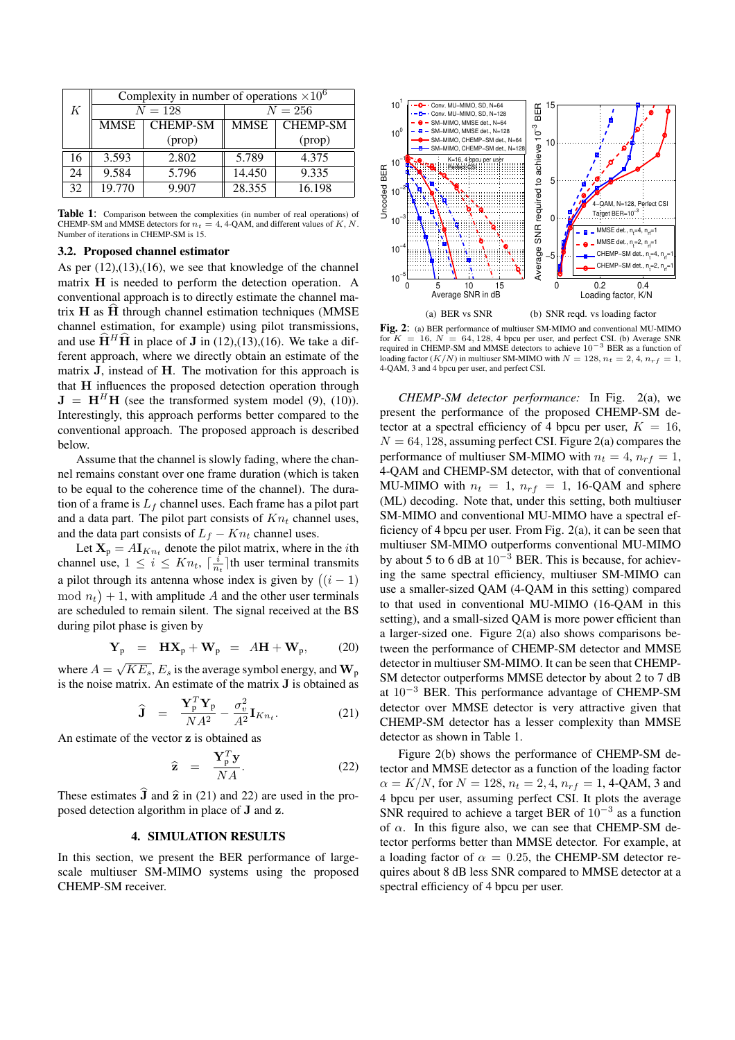|    | Complexity in number of operations $\times 10^6$ |                 |             |                 |
|----|--------------------------------------------------|-----------------|-------------|-----------------|
| K  | $N = 128$                                        |                 | $N = 256$   |                 |
|    | MMSE                                             | <b>CHEMP-SM</b> | <b>MMSE</b> | <b>CHEMP-SM</b> |
|    |                                                  | (prop)          |             | (prop)          |
| 16 | 3.593                                            | 2.802           | 5.789       | 4.375           |
| 24 | 9.584                                            | 5.796           | 14.450      | 9.335           |
| 32 | 19.770                                           | 9.907           | 28.355      | 16.198          |

Table 1: Comparison between the complexities (in number of real operations) of CHEMP-SM and MMSE detectors for  $n_t = 4$ , 4-QAM, and different values of K, N. Number of iterations in CHEMP-SM is 15.

#### 3.2. Proposed channel estimator

As per  $(12)$ , $(13)$ , $(16)$ , we see that knowledge of the channel matrix H is needed to perform the detection operation. A conventional approach is to directly estimate the channel matrix  $H$  as  $H$  through channel estimation techniques (MMSE) channel estimation, for example) using pilot transmissions, and use  $\hat{H}^H\hat{H}$  in place of J in (12),(13),(16). We take a different approach, where we directly obtain an estimate of the matrix J, instead of H. The motivation for this approach is that H influences the proposed detection operation through  $J = H<sup>H</sup>H$  (see the transformed system model (9), (10)). Interestingly, this approach performs better compared to the conventional approach. The proposed approach is described below.

Assume that the channel is slowly fading, where the channel remains constant over one frame duration (which is taken to be equal to the coherence time of the channel). The duration of a frame is  $L_f$  channel uses. Each frame has a pilot part and a data part. The pilot part consists of  $Kn_t$  channel uses, and the data part consists of  $L_f - Kn_t$  channel uses.

Let  $X_p = A I_{Kn_t}$  denote the pilot matrix, where in the *i*th channel use,  $1 \leq i \leq Kn_t$ ,  $\lceil \frac{i}{n_t} \rceil$ th user terminal transmits a pilot through its antenna whose index is given by  $((i - 1)$  $\mod n_t$  + 1, with amplitude A and the other user terminals are scheduled to remain silent. The signal received at the BS during pilot phase is given by

$$
\mathbf{Y}_{\mathbf{p}} = \mathbf{H}\mathbf{X}_{\mathbf{p}} + \mathbf{W}_{\mathbf{p}} = A\mathbf{H} + \mathbf{W}_{\mathbf{p}}, \qquad (20)
$$

where  $A = \sqrt{KE_s}$ ,  $E_s$  is the average symbol energy, and  $\mathbf{W}_p$ is the noise matrix. An estimate of the matrix J is obtained as

$$
\widehat{\mathbf{J}} = \frac{\mathbf{Y}_{\mathrm{p}}^T \mathbf{Y}_{\mathrm{p}}}{NA^2} - \frac{\sigma_v^2}{A^2} \mathbf{I}_{Kn_t}.
$$
 (21)

An estimate of the vector z is obtained as

$$
\widehat{\mathbf{z}} = \frac{\mathbf{Y}_p^T \mathbf{y}}{NA}.
$$
 (22)

These estimates  $\hat{\mathbf{J}}$  and  $\hat{\mathbf{z}}$  in (21) and 22) are used in the proposed detection algorithm in place of J and z.

## 4. SIMULATION RESULTS

In this section, we present the BER performance of largescale multiuser SM-MIMO systems using the proposed CHEMP-SM receiver.



Fig. 2: (a) BER performance of multiuser SM-MIMO and conventional MU-MIMO for  $K = 16$ ,  $N = 64$ , 128, 4 bpcu per user, and perfect CSI. (b) Average SNR required in CHEMP-SM and MMSE detectors to achieve  $10^{-3}$  BER as a function of loading factor  $(K/N)$  in multiuser SM-MIMO with  $N = 128$ ,  $n_t = 2, 4, n_{rf} = 1$ , 4-QAM, 3 and 4 bpcu per user, and perfect CSI.

*CHEMP-SM detector performance:* In Fig. 2(a), we present the performance of the proposed CHEMP-SM detector at a spectral efficiency of 4 bpcu per user,  $K = 16$ ,  $N = 64, 128$ , assuming perfect CSI. Figure 2(a) compares the performance of multiuser SM-MIMO with  $n_t = 4$ ,  $n_{rf} = 1$ , 4-QAM and CHEMP-SM detector, with that of conventional MU-MIMO with  $n_t = 1$ ,  $n_{rf} = 1$ , 16-QAM and sphere (ML) decoding. Note that, under this setting, both multiuser SM-MIMO and conventional MU-MIMO have a spectral efficiency of 4 bpcu per user. From Fig. 2(a), it can be seen that multiuser SM-MIMO outperforms conventional MU-MIMO by about 5 to 6 dB at  $10^{-3}$  BER. This is because, for achieving the same spectral efficiency, multiuser SM-MIMO can use a smaller-sized QAM (4-QAM in this setting) compared to that used in conventional MU-MIMO (16-QAM in this setting), and a small-sized QAM is more power efficient than a larger-sized one. Figure 2(a) also shows comparisons between the performance of CHEMP-SM detector and MMSE detector in multiuser SM-MIMO. It can be seen that CHEMP-SM detector outperforms MMSE detector by about 2 to 7 dB at 10<sup>−</sup><sup>3</sup> BER. This performance advantage of CHEMP-SM detector over MMSE detector is very attractive given that CHEMP-SM detector has a lesser complexity than MMSE detector as shown in Table 1.

Figure 2(b) shows the performance of CHEMP-SM detector and MMSE detector as a function of the loading factor  $\alpha = K/N$ , for  $N = 128$ ,  $n_t = 2, 4, n_{rf} = 1$ , 4-QAM, 3 and 4 bpcu per user, assuming perfect CSI. It plots the average SNR required to achieve a target BER of  $10^{-3}$  as a function of  $\alpha$ . In this figure also, we can see that CHEMP-SM detector performs better than MMSE detector. For example, at a loading factor of  $\alpha = 0.25$ , the CHEMP-SM detector requires about 8 dB less SNR compared to MMSE detector at a spectral efficiency of 4 bpcu per user.